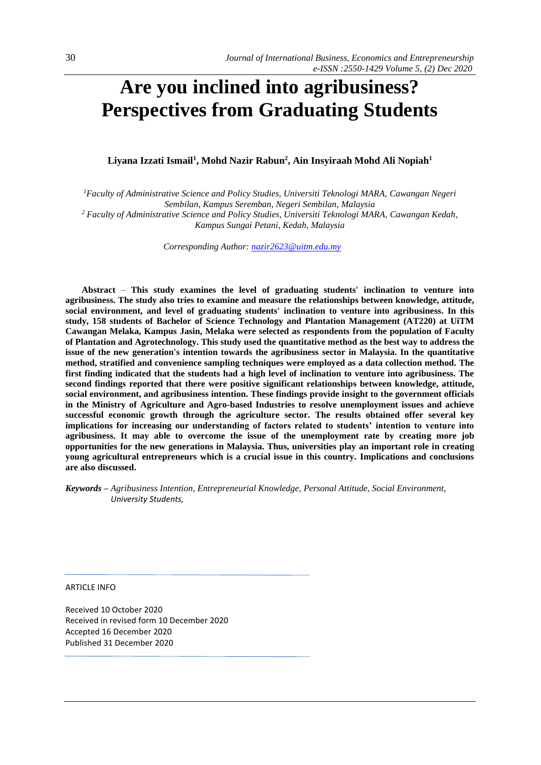# **Are you inclined into agribusiness? Perspectives from Graduating Students**

**Liyana Izzati Ismail<sup>1</sup> , Mohd Nazir Rabun<sup>2</sup> , Ain Insyiraah Mohd Ali Nopiah<sup>1</sup>**

*<sup>1</sup>Faculty of Administrative Science and Policy Studies, Universiti Teknologi MARA, Cawangan Negeri Sembilan, Kampus Seremban, Negeri Sembilan, Malaysia <sup>2</sup> Faculty of Administrative Science and Policy Studies, Universiti Teknologi MARA, Cawangan Kedah,* 

*Kampus Sungai Petani, Kedah, Malaysia*

*Corresponding Author[: nazir2623@uitm.edu.my](mailto:nazir2623@uitm.edu.my)*

**Abstract** *–* **This study examines the level of graduating students' inclination to venture into agribusiness. The study also tries to examine and measure the relationships between knowledge, attitude, social environment, and level of graduating students' inclination to venture into agribusiness. In this study, 158 students of Bachelor of Science Technology and Plantation Management (AT220) at UiTM Cawangan Melaka, Kampus Jasin, Melaka were selected as respondents from the population of Faculty of Plantation and Agrotechnology. This study used the quantitative method as the best way to address the issue of the new generation's intention towards the agribusiness sector in Malaysia. In the quantitative method, stratified and convenience sampling techniques were employed as a data collection method. The first finding indicated that the students had a high level of inclination to venture into agribusiness. The second findings reported that there were positive significant relationships between knowledge, attitude, social environment, and agribusiness intention. These findings provide insight to the government officials in the Ministry of Agriculture and Agro-based Industries to resolve unemployment issues and achieve successful economic growth through the agriculture sector. The results obtained offer several key implications for increasing our understanding of factors related to students' intention to venture into agribusiness. It may able to overcome the issue of the unemployment rate by creating more job opportunities for the new generations in Malaysia. Thus, universities play an important role in creating young agricultural entrepreneurs which is a crucial issue in this country. Implications and conclusions are also discussed.**

*Keywords – Agribusiness Intention, Entrepreneurial Knowledge, Personal Attitude, Social Environment, University Students,*

ARTICLE INFO

Received 10 October 2020 Received in revised form 10 December 2020 Accepted 16 December 2020 Published 31 December 2020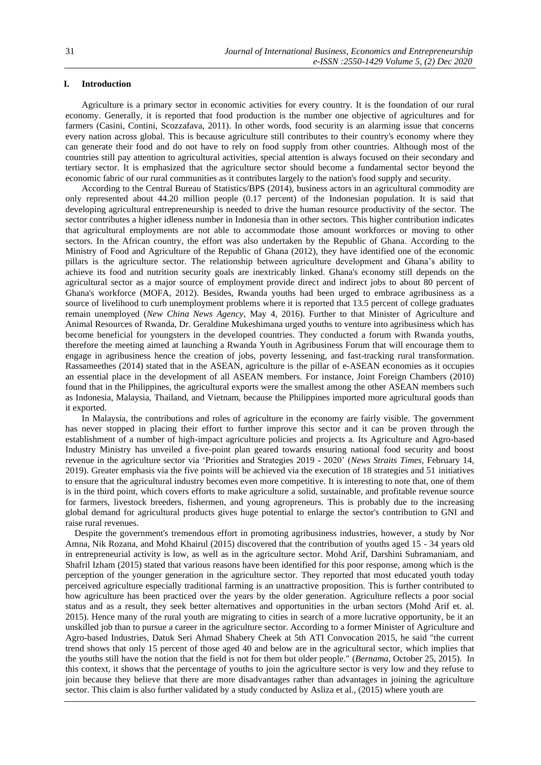# **I. Introduction**

Agriculture is a primary sector in economic activities for every country. It is the foundation of our rural economy. Generally, it is reported that food production is the number one objective of agricultures and for farmers (Casini, Contini, Scozzafava, 2011). In other words, food security is an alarming issue that concerns every nation across global. This is because agriculture still contributes to their country's economy where they can generate their food and do not have to rely on food supply from other countries. Although most of the countries still pay attention to agricultural activities, special attention is always focused on their secondary and tertiary sector. It is emphasized that the agriculture sector should become a fundamental sector beyond the economic fabric of our rural communities as it contributes largely to the nation's food supply and security.

According to the Central Bureau of Statistics/BPS (2014), business actors in an agricultural commodity are only represented about 44.20 million people (0.17 percent) of the Indonesian population. It is said that developing agricultural entrepreneurship is needed to drive the human resource productivity of the sector. The sector contributes a higher idleness number in Indonesia than in other sectors. This higher contribution indicates that agricultural employments are not able to accommodate those amount workforces or moving to other sectors. In the African country, the effort was also undertaken by the Republic of Ghana. According to the Ministry of Food and Agriculture of the Republic of Ghana (2012), they have identified one of the economic pillars is the agriculture sector. The relationship between agriculture development and Ghana's ability to achieve its food and nutrition security goals are inextricably linked. Ghana's economy still depends on the agricultural sector as a major source of employment provide direct and indirect jobs to about 80 percent of Ghana's workforce (MOFA, 2012). Besides, Rwanda youths had been urged to embrace agribusiness as a source of livelihood to curb unemployment problems where it is reported that 13.5 percent of college graduates remain unemployed (*New China News Agency,* May 4, 2016). Further to that Minister of Agriculture and Animal Resources of Rwanda, Dr. Geraldine Mukeshimana urged youths to venture into agribusiness which has become beneficial for youngsters in the developed countries. They conducted a forum with Rwanda youths, therefore the meeting aimed at launching a Rwanda Youth in Agribusiness Forum that will encourage them to engage in agribusiness hence the creation of jobs, poverty lessening, and fast-tracking rural transformation. Rassameethes (2014) stated that in the ASEAN, agriculture is the pillar of e-ASEAN economies as it occupies an essential place in the development of all ASEAN members. For instance, Joint Foreign Chambers (2010) found that in the Philippines, the agricultural exports were the smallest among the other ASEAN members such as Indonesia, Malaysia, Thailand, and Vietnam, because the Philippines imported more agricultural goods than it exported.

In Malaysia, the contributions and roles of agriculture in the economy are fairly visible. The government has never stopped in placing their effort to further improve this sector and it can be proven through the establishment of a number of high-impact agriculture policies and projects a. Its Agriculture and Agro-based Industry Ministry has unveiled a five-point plan geared towards ensuring national food security and boost revenue in the agriculture sector via 'Priorities and Strategies 2019 - 2020' (*News Straits Times*, February 14, 2019). Greater emphasis via the five points will be achieved via the execution of 18 strategies and 51 initiatives to ensure that the agricultural industry becomes even more competitive. It is interesting to note that, one of them is in the third point, which covers efforts to make agriculture a solid, sustainable, and profitable revenue source for farmers, livestock breeders, fishermen, and young agropreneurs. This is probably due to the increasing global demand for agricultural products gives huge potential to enlarge the sector's contribution to GNI and raise rural revenues.

Despite the government's tremendous effort in promoting agribusiness industries, however, a study by Nor Amna, Nik Rozana, and Mohd Khairul (2015) discovered that the contribution of youths aged 15 - 34 years old in entrepreneurial activity is low, as well as in the agriculture sector. Mohd Arif, Darshini Subramaniam, and Shafril Izham (2015) stated that various reasons have been identified for this poor response, among which is the perception of the younger generation in the agriculture sector. They reported that most educated youth today perceived agriculture especially traditional farming is an unattractive proposition. This is further contributed to how agriculture has been practiced over the years by the older generation. Agriculture reflects a poor social status and as a result, they seek better alternatives and opportunities in the urban sectors (Mohd Arif et. al. 2015). Hence many of the rural youth are migrating to cities in search of a more lucrative opportunity, be it an unskilled job than to pursue a career in the agriculture sector. According to a former Minister of Agriculture and Agro-based Industries, Datuk Seri Ahmad Shabery Cheek at 5th ATI Convocation 2015, he said "the current trend shows that only 15 percent of those aged 40 and below are in the agricultural sector, which implies that the youths still have the notion that the field is not for them but older people." (*Bernama*, October 25, 2015). In this context, it shows that the percentage of youths to join the agriculture sector is very low and they refuse to join because they believe that there are more disadvantages rather than advantages in joining the agriculture sector. This claim is also further validated by a study conducted by Asliza et al., (2015) where youth are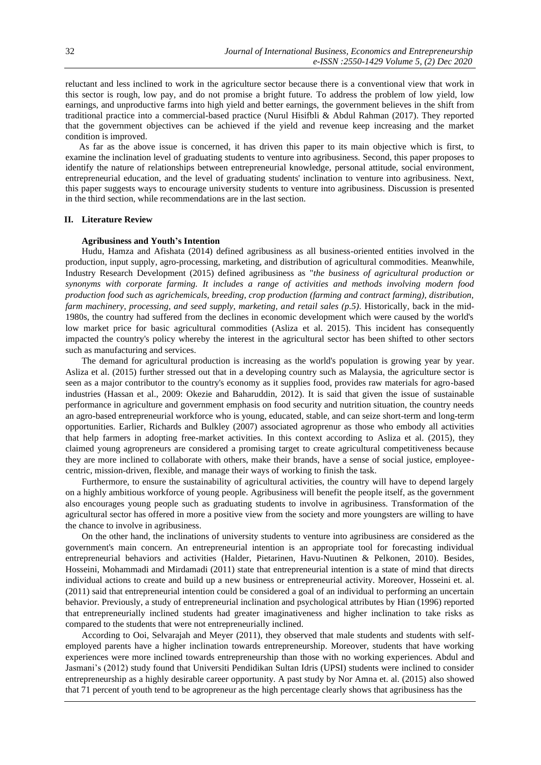reluctant and less inclined to work in the agriculture sector because there is a conventional view that work in this sector is rough, low pay, and do not promise a bright future. To address the problem of low yield, low earnings, and unproductive farms into high yield and better earnings, the government believes in the shift from traditional practice into a commercial-based practice (Nurul Hisifbli & Abdul Rahman (2017). They reported that the government objectives can be achieved if the yield and revenue keep increasing and the market condition is improved.

As far as the above issue is concerned, it has driven this paper to its main objective which is first, to examine the inclination level of graduating students to venture into agribusiness. Second, this paper proposes to identify the nature of relationships between entrepreneurial knowledge, personal attitude, social environment, entrepreneurial education, and the level of graduating students' inclination to venture into agribusiness. Next, this paper suggests ways to encourage university students to venture into agribusiness. Discussion is presented in the third section, while recommendations are in the last section.

#### **II. Literature Review**

#### **Agribusiness and Youth's Intention**

Hudu, Hamza and Afishata (2014) defined agribusiness as all business-oriented entities involved in the production, input supply, agro-processing, marketing, and distribution of agricultural commodities. Meanwhile, Industry Research Development (2015) defined agribusiness as "*the business of agricultural production or synonyms with corporate farming. It includes a range of activities and methods involving modern food production food such as agrichemicals, breeding, crop production (farming and contract farming), distribution, farm machinery, processing, and seed supply, marketing, and retail sales (p.5)*. Historically, back in the mid-1980s, the country had suffered from the declines in economic development which were caused by the world's low market price for basic agricultural commodities (Asliza et al. 2015). This incident has consequently impacted the country's policy whereby the interest in the agricultural sector has been shifted to other sectors such as manufacturing and services.

The demand for agricultural production is increasing as the world's population is growing year by year. Asliza et al. (2015) further stressed out that in a developing country such as Malaysia, the agriculture sector is seen as a major contributor to the country's economy as it supplies food, provides raw materials for agro-based industries (Hassan et al., 2009: Okezie and Baharuddin, 2012). It is said that given the issue of sustainable performance in agriculture and government emphasis on food security and nutrition situation, the country needs an agro-based entrepreneurial workforce who is young, educated, stable, and can seize short-term and long-term opportunities. Earlier, Richards and Bulkley (2007) associated agroprenur as those who embody all activities that help farmers in adopting free-market activities. In this context according to Asliza et al. (2015), they claimed young agropreneurs are considered a promising target to create agricultural competitiveness because they are more inclined to collaborate with others, make their brands, have a sense of social justice, employeecentric, mission-driven, flexible, and manage their ways of working to finish the task.

Furthermore, to ensure the sustainability of agricultural activities, the country will have to depend largely on a highly ambitious workforce of young people. Agribusiness will benefit the people itself, as the government also encourages young people such as graduating students to involve in agribusiness. Transformation of the agricultural sector has offered in more a positive view from the society and more youngsters are willing to have the chance to involve in agribusiness.

On the other hand, the inclinations of university students to venture into agribusiness are considered as the government's main concern. An entrepreneurial intention is an appropriate tool for forecasting individual entrepreneurial behaviors and activities (Halder, Pietarinen, Havu-Nuutinen & Pelkonen, 2010). Besides, Hosseini, Mohammadi and Mirdamadi (2011) state that entrepreneurial intention is a state of mind that directs individual actions to create and build up a new business or entrepreneurial activity. Moreover, Hosseini et. al. (2011) said that entrepreneurial intention could be considered a goal of an individual to performing an uncertain behavior. Previously, a study of entrepreneurial inclination and psychological attributes by Hian (1996) reported that entrepreneurially inclined students had greater imaginativeness and higher inclination to take risks as compared to the students that were not entrepreneurially inclined.

According to Ooi, Selvarajah and Meyer (2011), they observed that male students and students with selfemployed parents have a higher inclination towards entrepreneurship. Moreover, students that have working experiences were more inclined towards entrepreneurship than those with no working experiences. Abdul and Jasmani's (2012) study found that Universiti Pendidikan Sultan Idris (UPSI) students were inclined to consider entrepreneurship as a highly desirable career opportunity. A past study by Nor Amna et. al. (2015) also showed that 71 percent of youth tend to be agropreneur as the high percentage clearly shows that agribusiness has the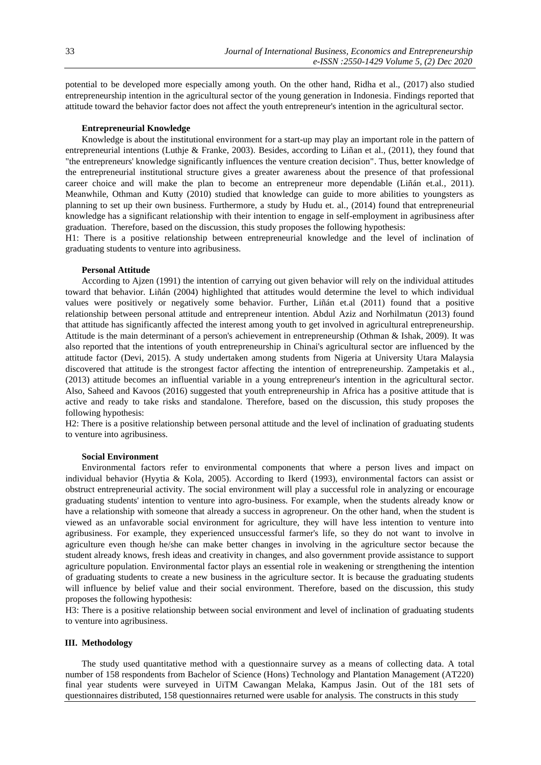potential to be developed more especially among youth. On the other hand, Ridha et al., (2017) also studied entrepreneurship intention in the agricultural sector of the young generation in Indonesia. Findings reported that attitude toward the behavior factor does not affect the youth entrepreneur's intention in the agricultural sector.

### **Entrepreneurial Knowledge**

Knowledge is about the institutional environment for a start-up may play an important role in the pattern of entrepreneurial intentions (Luthje & Franke, 2003). Besides, according to Liñan et al., (2011), they found that "the entrepreneurs' knowledge significantly influences the venture creation decision". Thus, better knowledge of the entrepreneurial institutional structure gives a greater awareness about the presence of that professional career choice and will make the plan to become an entrepreneur more dependable (Liñán et.al., 2011). Meanwhile, Othman and Kutty (2010) studied that knowledge can guide to more abilities to youngsters as planning to set up their own business. Furthermore, a study by Hudu et. al., (2014) found that entrepreneurial knowledge has a significant relationship with their intention to engage in self-employment in agribusiness after graduation. Therefore, based on the discussion, this study proposes the following hypothesis:

H1: There is a positive relationship between entrepreneurial knowledge and the level of inclination of graduating students to venture into agribusiness.

#### **Personal Attitude**

According to Ajzen (1991) the intention of carrying out given behavior will rely on the individual attitudes toward that behavior. Liñán (2004) highlighted that attitudes would determine the level to which individual values were positively or negatively some behavior. Further, Liñán et.al (2011) found that a positive relationship between personal attitude and entrepreneur intention. Abdul Aziz and Norhilmatun (2013) found that attitude has significantly affected the interest among youth to get involved in agricultural entrepreneurship. Attitude is the main determinant of a person's achievement in entrepreneurship (Othman & Ishak, 2009). It was also reported that the intentions of youth entrepreneurship in Chinai's agricultural sector are influenced by the attitude factor (Devi, 2015). A study undertaken among students from Nigeria at University Utara Malaysia discovered that attitude is the strongest factor affecting the intention of entrepreneurship. Zampetakis et al., (2013) attitude becomes an influential variable in a young entrepreneur's intention in the agricultural sector. Also, Saheed and Kavoos (2016) suggested that youth entrepreneurship in Africa has a positive attitude that is active and ready to take risks and standalone. Therefore, based on the discussion, this study proposes the following hypothesis:

H2: There is a positive relationship between personal attitude and the level of inclination of graduating students to venture into agribusiness.

## **Social Environment**

Environmental factors refer to environmental components that where a person lives and impact on individual behavior (Hyytia & Kola, 2005). According to Ikerd (1993), environmental factors can assist or obstruct entrepreneurial activity. The social environment will play a successful role in analyzing or encourage graduating students' intention to venture into agro-business. For example, when the students already know or have a relationship with someone that already a success in agropreneur. On the other hand, when the student is viewed as an unfavorable social environment for agriculture, they will have less intention to venture into agribusiness. For example, they experienced unsuccessful farmer's life, so they do not want to involve in agriculture even though he/she can make better changes in involving in the agriculture sector because the student already knows, fresh ideas and creativity in changes, and also government provide assistance to support agriculture population. Environmental factor plays an essential role in weakening or strengthening the intention of graduating students to create a new business in the agriculture sector. It is because the graduating students will influence by belief value and their social environment. Therefore, based on the discussion, this study proposes the following hypothesis:

H3: There is a positive relationship between social environment and level of inclination of graduating students to venture into agribusiness.

## **III. Methodology**

The study used quantitative method with a questionnaire survey as a means of collecting data. A total number of 158 respondents from Bachelor of Science (Hons) Technology and Plantation Management (AT220) final year students were surveyed in UiTM Cawangan Melaka, Kampus Jasin. Out of the 181 sets of questionnaires distributed, 158 questionnaires returned were usable for analysis. The constructs in this study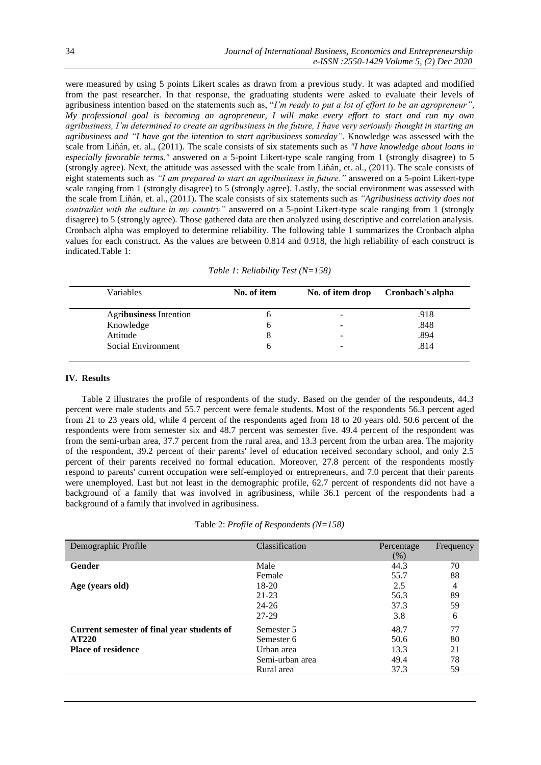were measured by using 5 points Likert scales as drawn from a previous study. It was adapted and modified from the past researcher. In that response, the graduating students were asked to evaluate their levels of agribusiness intention based on the statements such as, "*I'm ready to put a lot of effort to be an agropreneur", My professional goal is becoming an agropreneur, I will make every effort to start and run my own agribusiness, I'm determined to create an agribusiness in the future, I have very seriously thought in starting an agribusiness and "I have got the intention to start agribusiness someday".* Knowledge was assessed with the scale from Liñán, et. al., (2011). The scale consists of six statements such as *"I have knowledge about loans in especially favorable terms."* answered on a 5-point Likert-type scale ranging from 1 (strongly disagree) to 5 (strongly agree). Next, the attitude was assessed with the scale from Liñán, et. al., (2011). The scale consists of eight statements such as *"I am prepared to start an agribusiness in future."* answered on a 5-point Likert-type scale ranging from 1 (strongly disagree) to 5 (strongly agree). Lastly, the social environment was assessed with the scale from Liñán, et. al., (2011). The scale consists of six statements such as *"Agribusiness activity does not contradict with the culture in my country"* answered on a 5-point Likert-type scale ranging from 1 (strongly disagree) to 5 (strongly agree). Those gathered data are then analyzed using descriptive and correlation analysis. Cronbach alpha was employed to determine reliability. The following table 1 summarizes the Cronbach alpha values for each construct. As the values are between 0.814 and 0.918, the high reliability of each construct is indicated.Table 1:

| Variables              | No. of item | No. of item drop |      |
|------------------------|-------------|------------------|------|
| Agribusiness Intention |             | -                | .918 |
| Knowledge              |             | -                | .848 |
| Attitude               |             |                  | .894 |
| Social Environment     |             |                  | .814 |

## **IV. Results**

Table 2 illustrates the profile of respondents of the study. Based on the gender of the respondents, 44.3 percent were male students and 55.7 percent were female students. Most of the respondents 56.3 percent aged from 21 to 23 years old, while 4 percent of the respondents aged from 18 to 20 years old. 50.6 percent of the respondents were from semester six and 48.7 percent was semester five. 49.4 percent of the respondent was from the semi-urban area, 37.7 percent from the rural area, and 13.3 percent from the urban area. The majority of the respondent, 39.2 percent of their parents' level of education received secondary school, and only 2.5 percent of their parents received no formal education. Moreover, 27.8 percent of the respondents mostly respond to parents' current occupation were self-employed or entrepreneurs, and 7.0 percent that their parents were unemployed. Last but not least in the demographic profile, 62.7 percent of respondents did not have a background of a family that was involved in agribusiness, while 36.1 percent of the respondents had a background of a family that involved in agribusiness.

|  |  | Table 2: <i>Profile of Respondents</i> $(N=158)$ |
|--|--|--------------------------------------------------|
|  |  |                                                  |

| Demographic Profile                        | Classification  | Percentage<br>(% ) | Frequency |
|--------------------------------------------|-----------------|--------------------|-----------|
| Gender                                     | Male            | 44.3               | 70        |
|                                            | Female          | 55.7               | 88        |
| Age (years old)                            | $18-20$         | 2.5                | 4         |
|                                            | $21 - 23$       | 56.3               | 89        |
|                                            | $24 - 26$       | 37.3               | 59        |
|                                            | 27-29           | 3.8                | 6         |
| Current semester of final year students of | Semester 5      | 48.7               | 77        |
| <b>AT220</b>                               | Semester 6      | 50.6               | 80        |
| <b>Place of residence</b>                  | Urban area      | 13.3               | 21        |
|                                            | Semi-urban area | 49.4               | 78        |
|                                            | Rural area      | 37.3               | 59        |
|                                            |                 |                    |           |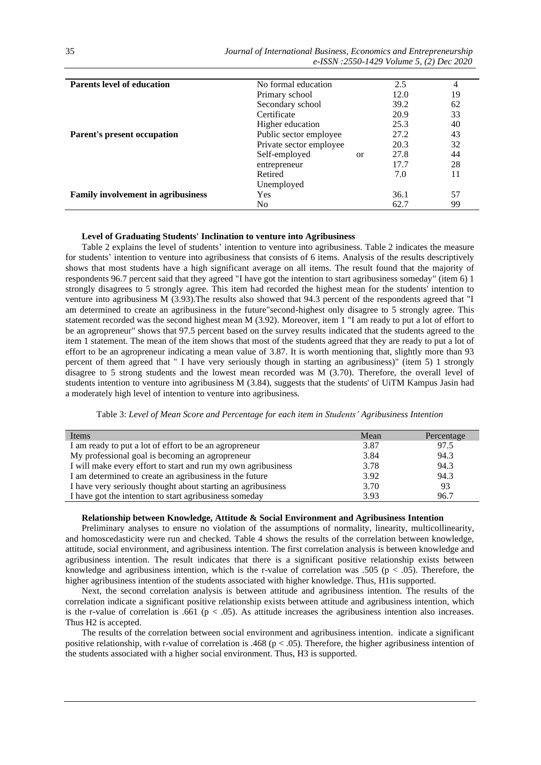| <b>Parents level of education</b>         | No formal education     |               | 2.5  | 4  |
|-------------------------------------------|-------------------------|---------------|------|----|
|                                           | Primary school          |               | 12.0 | 19 |
|                                           | Secondary school        |               | 39.2 | 62 |
|                                           | Certificate             |               | 20.9 | 33 |
|                                           | Higher education        |               | 25.3 | 40 |
| Parent's present occupation               | Public sector employee  |               | 27.2 | 43 |
|                                           | Private sector employee |               | 20.3 | 32 |
|                                           | Self-employed           | <sub>or</sub> | 27.8 | 44 |
|                                           | entrepreneur            |               | 17.7 | 28 |
|                                           | Retired                 |               | 7.0  | 11 |
|                                           | Unemployed              |               |      |    |
| <b>Family involvement in agribusiness</b> | Yes                     |               | 36.1 | 57 |
|                                           | No                      |               | 62.7 | 99 |

## **Level of Graduating Students' Inclination to venture into Agribusiness**

Table 2 explains the level of students' intention to venture into agribusiness. Table 2 indicates the measure for students' intention to venture into agribusiness that consists of 6 items. Analysis of the results descriptively shows that most students have a high significant average on all items. The result found that the majority of respondents 96.7 percent said that they agreed "I have got the intention to start agribusiness someday" (item 6) 1 strongly disagrees to 5 strongly agree. This item had recorded the highest mean for the students' intention to venture into agribusiness M (3.93).The results also showed that 94.3 percent of the respondents agreed that "I am determined to create an agribusiness in the future"second-highest only disagree to 5 strongly agree. This statement recorded was the second highest mean M (3.92). Moreover, item 1 "I am ready to put a lot of effort to be an agropreneur" shows that 97.5 percent based on the survey results indicated that the students agreed to the item 1 statement. The mean of the item shows that most of the students agreed that they are ready to put a lot of effort to be an agropreneur indicating a mean value of 3.87. It is worth mentioning that, slightly more than 93 percent of them agreed that " I have very seriously though in starting an agribusiness)" (item 5) 1 strongly disagree to 5 strong students and the lowest mean recorded was M (3.70). Therefore, the overall level of students intention to venture into agribusiness M (3.84), suggests that the students' of UiTM Kampus Jasin had a moderately high level of intention to venture into agribusiness.

| Items                                                         | Mean | Percentage |
|---------------------------------------------------------------|------|------------|
| I am ready to put a lot of effort to be an agropreneur        | 3.87 | 97.5       |
| My professional goal is becoming an agropreneur               | 3.84 | 94.3       |
| I will make every effort to start and run my own agribusiness | 3.78 | 94.3       |
| I am determined to create an agribusiness in the future       | 3.92 | 94.3       |
| I have very seriously thought about starting an agribusiness  | 3.70 | 93         |
| I have got the intention to start agribusiness someday        | 3.93 | 96.7       |

#### **Relationship between Knowledge, Attitude & Social Environment and Agribusiness Intention**

Preliminary analyses to ensure no violation of the assumptions of normality, linearity, multicollinearity, and homoscedasticity were run and checked. Table 4 shows the results of the correlation between knowledge, attitude, social environment, and agribusiness intention. The first correlation analysis is between knowledge and agribusiness intention. The result indicates that there is a significant positive relationship exists between knowledge and agribusiness intention, which is the r-value of correlation was .505 ( $p < .05$ ). Therefore, the higher agribusiness intention of the students associated with higher knowledge. Thus, H1is supported.

Next, the second correlation analysis is between attitude and agribusiness intention. The results of the correlation indicate a significant positive relationship exists between attitude and agribusiness intention, which is the r-value of correlation is .661 ( $p < .05$ ). As attitude increases the agribusiness intention also increases. Thus H2 is accepted.

The results of the correlation between social environment and agribusiness intention. indicate a significant positive relationship, with r-value of correlation is .468 ( $p < .05$ ). Therefore, the higher agribusiness intention of the students associated with a higher social environment. Thus, H3 is supported.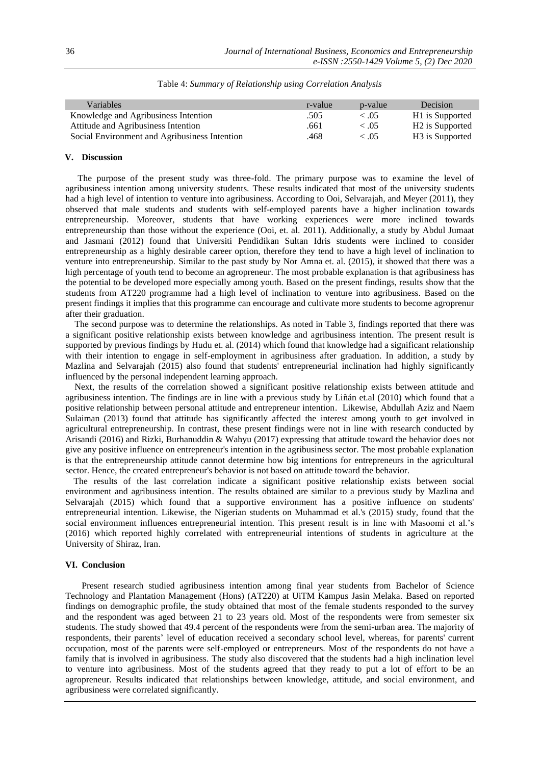| Variables                                     | r-value | p-value    | <b>Decision</b>             |
|-----------------------------------------------|---------|------------|-----------------------------|
| Knowledge and Agribusiness Intention          | .505    | $\leq .05$ | H <sub>1</sub> is Supported |
| Attitude and Agribusiness Intention           | .661    | $\leq .05$ | H <sub>2</sub> is Supported |
| Social Environment and Agribusiness Intention | .468    | $\leq .05$ | H <sub>3</sub> is Supported |
|                                               |         |            |                             |

Table 4: *Summary of Relationship using Correlation Analysis*

#### **V. Discussion**

The purpose of the present study was three-fold. The primary purpose was to examine the level of agribusiness intention among university students. These results indicated that most of the university students had a high level of intention to venture into agribusiness. According to Ooi, Selvarajah, and Meyer (2011), they observed that male students and students with self-employed parents have a higher inclination towards entrepreneurship. Moreover, students that have working experiences were more inclined towards entrepreneurship than those without the experience (Ooi, et. al. 2011). Additionally, a study by Abdul Jumaat and Jasmani (2012) found that Universiti Pendidikan Sultan Idris students were inclined to consider entrepreneurship as a highly desirable career option, therefore they tend to have a high level of inclination to venture into entrepreneurship. Similar to the past study by Nor Amna et. al. (2015), it showed that there was a high percentage of youth tend to become an agropreneur. The most probable explanation is that agribusiness has the potential to be developed more especially among youth. Based on the present findings, results show that the students from AT220 programme had a high level of inclination to venture into agribusiness. Based on the present findings it implies that this programme can encourage and cultivate more students to become agroprenur after their graduation.

The second purpose was to determine the relationships. As noted in Table 3, findings reported that there was a significant positive relationship exists between knowledge and agribusiness intention. The present result is supported by previous findings by Hudu et. al. (2014) which found that knowledge had a significant relationship with their intention to engage in self-employment in agribusiness after graduation. In addition, a study by Mazlina and Selvarajah (2015) also found that students' entrepreneurial inclination had highly significantly influenced by the personal independent learning approach.

Next, the results of the correlation showed a significant positive relationship exists between attitude and agribusiness intention. The findings are in line with a previous study by Liñán et.al (2010) which found that a positive relationship between personal attitude and entrepreneur intention. Likewise, Abdullah Aziz and Naem Sulaiman (2013) found that attitude has significantly affected the interest among youth to get involved in agricultural entrepreneurship. In contrast, these present findings were not in line with research conducted by Arisandi (2016) and Rizki, Burhanuddin & Wahyu (2017) expressing that attitude toward the behavior does not give any positive influence on entrepreneur's intention in the agribusiness sector. The most probable explanation is that the entrepreneurship attitude cannot determine how big intentions for entrepreneurs in the agricultural sector. Hence, the created entrepreneur's behavior is not based on attitude toward the behavior.

The results of the last correlation indicate a significant positive relationship exists between social environment and agribusiness intention. The results obtained are similar to a previous study by Mazlina and Selvarajah (2015) which found that a supportive environment has a positive influence on students' entrepreneurial intention. Likewise, the Nigerian students on Muhammad et al.'s (2015) study, found that the social environment influences entrepreneurial intention. This present result is in line with Masoomi et al.'s (2016) which reported highly correlated with entrepreneurial intentions of students in agriculture at the University of Shiraz, Iran.

# **VI. Conclusion**

Present research studied agribusiness intention among final year students from Bachelor of Science Technology and Plantation Management (Hons) (AT220) at UiTM Kampus Jasin Melaka. Based on reported findings on demographic profile, the study obtained that most of the female students responded to the survey and the respondent was aged between 21 to 23 years old. Most of the respondents were from semester six students. The study showed that 49.4 percent of the respondents were from the semi-urban area. The majority of respondents, their parents' level of education received a secondary school level, whereas, for parents' current occupation, most of the parents were self-employed or entrepreneurs. Most of the respondents do not have a family that is involved in agribusiness. The study also discovered that the students had a high inclination level to venture into agribusiness. Most of the students agreed that they ready to put a lot of effort to be an agropreneur. Results indicated that relationships between knowledge, attitude, and social environment, and agribusiness were correlated significantly.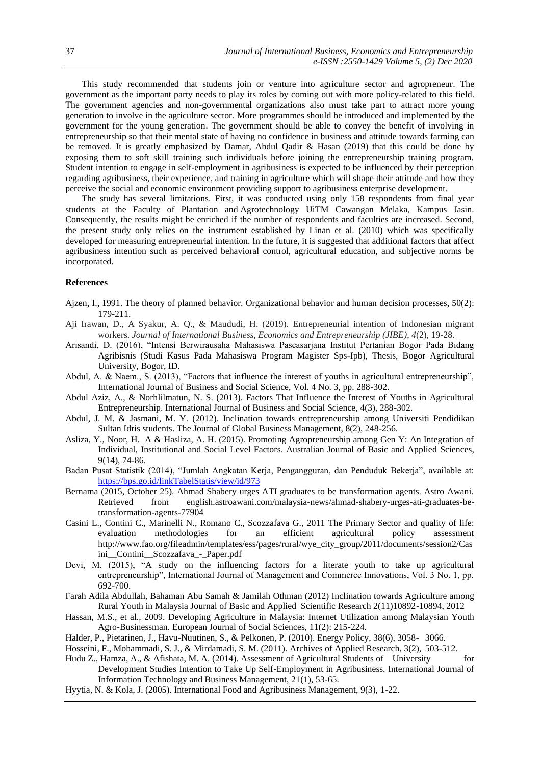This study recommended that students join or venture into agriculture sector and agropreneur. The government as the important party needs to play its roles by coming out with more policy-related to this field. The government agencies and non-governmental organizations also must take part to attract more young generation to involve in the agriculture sector. More programmes should be introduced and implemented by the government for the young generation. The government should be able to convey the benefit of involving in entrepreneurship so that their mental state of having no confidence in business and attitude towards farming can be removed. It is greatly emphasized by Damar, Abdul Qadir & Hasan (2019) that this could be done by exposing them to soft skill training such individuals before joining the entrepreneurship training program. Student intention to engage in self-employment in agribusiness is expected to be influenced by their perception regarding agribusiness, their experience, and training in agriculture which will shape their attitude and how they perceive the social and economic environment providing support to agribusiness enterprise development.

The study has several limitations. First, it was conducted using only 158 respondents from final year students at the Faculty of Plantation and Agrotechnology UiTM Cawangan Melaka, Kampus Jasin. Consequently, the results might be enriched if the number of respondents and faculties are increased. Second, the present study only relies on the instrument established by Linan et al. (2010) which was specifically developed for measuring entrepreneurial intention. In the future, it is suggested that additional factors that affect agribusiness intention such as perceived behavioral control, agricultural education, and subjective norms be incorporated.

## **References**

- Ajzen, I., 1991. The theory of planned behavior. Organizational behavior and human decision processes, 50(2): 179-211.
- Aji Irawan, D., A Syakur, A. Q., & Maududi, H. (2019). Entrepreneurial intention of Indonesian migrant workers. *Journal of International Business, Economics and Entrepreneurship (JIBE)*, *4*(2), 19-28.
- Arisandi, D. (2016), "Intensi Berwirausaha Mahasiswa Pascasarjana Institut Pertanian Bogor Pada Bidang Agribisnis (Studi Kasus Pada Mahasiswa Program Magister Sps-Ipb), Thesis, Bogor Agricultural University, Bogor, ID.
- Abdul, A. & Naem., S. (2013), "Factors that influence the interest of youths in agricultural entrepreneurship", International Journal of Business and Social Science, Vol. 4 No. 3, pp. 288-302.
- Abdul Aziz, A., & Norhlilmatun, N. S. (2013). Factors That Influence the Interest of Youths in Agricultural Entrepreneurship. International Journal of Business and Social Science, 4(3), 288-302.
- Abdul, J. M. & Jasmani, M. Y. (2012). Inclination towards entrepreneurship among Universiti Pendidikan Sultan Idris students. The Journal of Global Business Management, 8(2), 248-256.
- Asliza, Y., Noor, H. A & Hasliza, A. H. (2015). Promoting Agropreneurship among Gen Y: An Integration of Individual, Institutional and Social Level Factors. Australian Journal of Basic and Applied Sciences, 9(14), 74-86.
- Badan Pusat Statistik (2014), "Jumlah Angkatan Kerja, Pengangguran, dan Penduduk Bekerja", available at: <https://bps.go.id/linkTabelStatis/view/id/973>
- Bernama (2015, October 25). Ahmad Shabery urges ATI graduates to be transformation agents. Astro Awani. Retrieved from english.astroawani.com/malaysia-news/ahmad-shabery-urges-ati-graduates-betransformation-agents-77904
- Casini L., Contini C., Marinelli N., Romano C., Scozzafava G., 2011 The Primary Sector and quality of life: evaluation methodologies for an efficient agricultural policy assessment http://www.fao.org/fileadmin/templates/ess/pages/rural/wye\_city\_group/2011/documents/session2/Cas ini\_\_Contini\_\_Scozzafava\_-\_Paper.pdf
- Devi, M. (2015), "A study on the influencing factors for a literate youth to take up agricultural entrepreneurship", International Journal of Management and Commerce Innovations, Vol. 3 No. 1, pp. 692-700.
- Farah Adila Abdullah, Bahaman Abu Samah & Jamilah Othman (2012) Inclination towards Agriculture among Rural Youth in Malaysia Journal of Basic and Applied Scientific Research 2(11)10892-10894, 2012
- Hassan, M.S., et al., 2009. Developing Agriculture in Malaysia: Internet Utilization among Malaysian Youth Agro-Businessman. European Journal of Social Sciences, 11(2): 215-224.
- Halder, P., Pietarinen, J., Havu-Nuutinen, S., & Pelkonen, P. (2010). Energy Policy, 38(6), 3058- 3066.
- Hosseini, F., Mohammadi, S. J., & Mirdamadi, S. M. (2011). Archives of Applied Research, 3(2), 503-512.
- Hudu Z., Hamza, A., & Afishata, M. A. (2014). Assessment of Agricultural Students of University for Development Studies Intention to Take Up Self-Employment in Agribusiness. International Journal of Information Technology and Business Management, 21(1), 53-65.
- Hyytia, N. & Kola, J. (2005). International Food and Agribusiness Management, 9(3), 1-22.